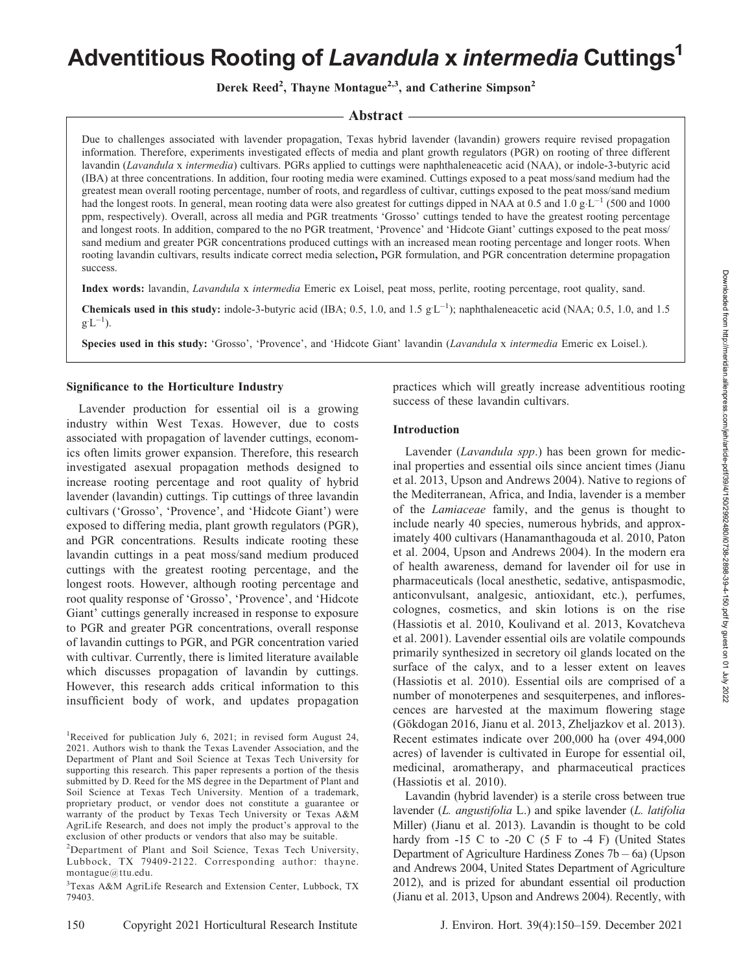# Adventitious Rooting of Lavandula x intermedia Cuttings<sup>1</sup>

Derek Reed<sup>2</sup>, Thayne Montague<sup>2,3</sup>, and Catherine Simpson<sup>2</sup>

## - Abstract -

Due to challenges associated with lavender propagation, Texas hybrid lavender (lavandin) growers require revised propagation information. Therefore, experiments investigated effects of media and plant growth regulators (PGR) on rooting of three different lavandin (Lavandula x intermedia) cultivars. PGRs applied to cuttings were naphthaleneacetic acid (NAA), or indole-3-butyric acid (IBA) at three concentrations. In addition, four rooting media were examined. Cuttings exposed to a peat moss/sand medium had the greatest mean overall rooting percentage, number of roots, and regardless of cultivar, cuttings exposed to the peat moss/sand medium had the longest roots. In general, mean rooting data were also greatest for cuttings dipped in NAA at 0.5 and  $1.0 \text{ g} \cdot \text{L}^{-1}$  (500 and 1000 ppm, respectively). Overall, across all media and PGR treatments 'Grosso' cuttings tended to have the greatest rooting percentage and longest roots. In addition, compared to the no PGR treatment, 'Provence' and 'Hidcote Giant' cuttings exposed to the peat moss/ sand medium and greater PGR concentrations produced cuttings with an increased mean rooting percentage and longer roots. When rooting lavandin cultivars, results indicate correct media selection, PGR formulation, and PGR concentration determine propagation success.

Index words: lavandin, Lavandula x intermedia Emeric ex Loisel, peat moss, perlite, rooting percentage, root quality, sand.

**Chemicals used in this study:** indole-3-butyric acid (IBA; 0.5, 1.0, and 1.5  $gL^{-1}$ ); naphthaleneacetic acid (NAA; 0.5, 1.0, and 1.5  $g^{\cdot}L^{-1}$ ).

Species used in this study: 'Grosso', 'Provence', and 'Hidcote Giant' lavandin (Lavandula x intermedia Emeric ex Loisel.).

#### Significance to the Horticulture Industry

Lavender production for essential oil is a growing industry within West Texas. However, due to costs associated with propagation of lavender cuttings, economics often limits grower expansion. Therefore, this research investigated asexual propagation methods designed to increase rooting percentage and root quality of hybrid lavender (lavandin) cuttings. Tip cuttings of three lavandin cultivars ('Grosso', 'Provence', and 'Hidcote Giant') were exposed to differing media, plant growth regulators (PGR), and PGR concentrations. Results indicate rooting these lavandin cuttings in a peat moss/sand medium produced cuttings with the greatest rooting percentage, and the longest roots. However, although rooting percentage and root quality response of 'Grosso', 'Provence', and 'Hidcote Giant' cuttings generally increased in response to exposure to PGR and greater PGR concentrations, overall response of lavandin cuttings to PGR, and PGR concentration varied with cultivar. Currently, there is limited literature available which discusses propagation of lavandin by cuttings. However, this research adds critical information to this insufficient body of work, and updates propagation

<sup>1</sup>Received for publication July 6, 2021; in revised form August 24, 2021. Authors wish to thank the Texas Lavender Association, and the Department of Plant and Soil Science at Texas Tech University for supporting this research. This paper represents a portion of the thesis submitted by D. Reed for the MS degree in the Department of Plant and Soil Science at Texas Tech University. Mention of a trademark, proprietary product, or vendor does not constitute a guarantee or warranty of the product by Texas Tech University or Texas A&M AgriLife Research, and does not imply the product's approval to the exclusion of other products or vendors that also may be suitable.

<sup>2</sup>Department of Plant and Soil Science, Texas Tech University, Lubbock, TX 79409-2122. Corresponding author: thayne. montague@ttu.edu.

3 Texas A&M AgriLife Research and Extension Center, Lubbock, TX 79403.

practices which will greatly increase adventitious rooting success of these lavandin cultivars.

## Introduction

Lavender (Lavandula spp.) has been grown for medicinal properties and essential oils since ancient times (Jianu et al. 2013, Upson and Andrews 2004). Native to regions of the Mediterranean, Africa, and India, lavender is a member of the Lamiaceae family, and the genus is thought to include nearly 40 species, numerous hybrids, and approximately 400 cultivars (Hanamanthagouda et al. 2010, Paton et al. 2004, Upson and Andrews 2004). In the modern era of health awareness, demand for lavender oil for use in pharmaceuticals (local anesthetic, sedative, antispasmodic, anticonvulsant, analgesic, antioxidant, etc.), perfumes, colognes, cosmetics, and skin lotions is on the rise (Hassiotis et al. 2010, Koulivand et al. 2013, Kovatcheva et al. 2001). Lavender essential oils are volatile compounds primarily synthesized in secretory oil glands located on the surface of the calyx, and to a lesser extent on leaves (Hassiotis et al. 2010). Essential oils are comprised of a number of monoterpenes and sesquiterpenes, and inflorescences are harvested at the maximum flowering stage (Gökdogan 2016, Jianu et al. 2013, Zheljazkov et al. 2013). Recent estimates indicate over 200,000 ha (over 494,000 acres) of lavender is cultivated in Europe for essential oil, medicinal, aromatherapy, and pharmaceutical practices (Hassiotis et al. 2010).

Lavandin (hybrid lavender) is a sterile cross between true lavender (L. angustifolia L.) and spike lavender (L. latifolia Miller) (Jianu et al. 2013). Lavandin is thought to be cold hardy from  $-15$  C to  $-20$  C (5 F to  $-4$  F) (United States Department of Agriculture Hardiness Zones  $7b - 6a$ ) (Upson and Andrews 2004, United States Department of Agriculture 2012), and is prized for abundant essential oil production (Jianu et al. 2013, Upson and Andrews 2004). Recently, with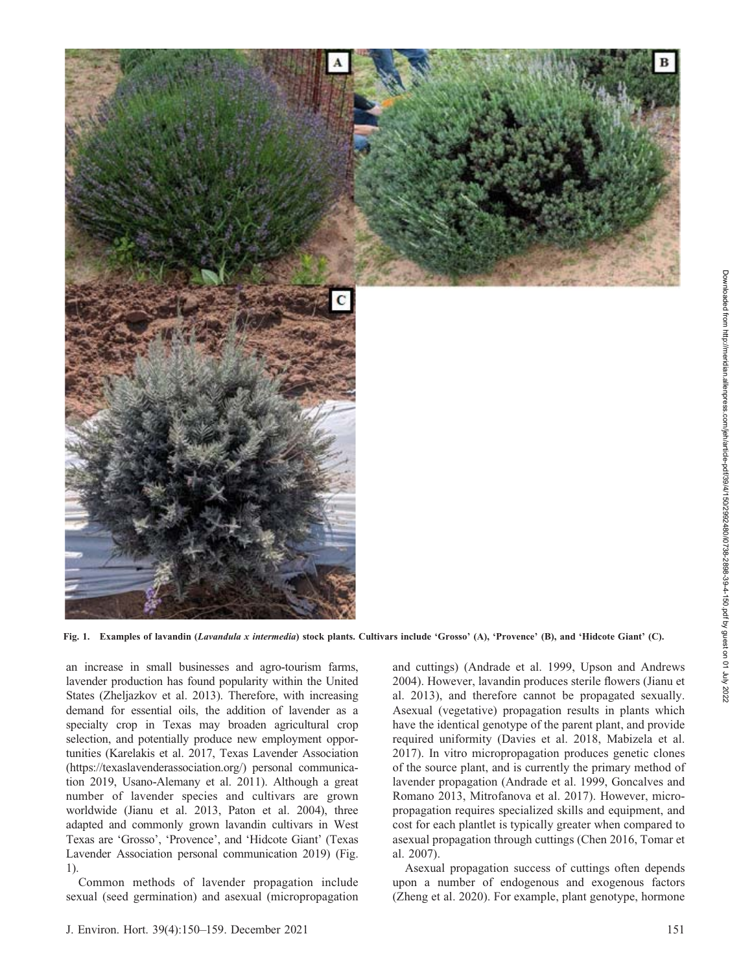

Fig. 1. Examples of lavandin (Lavandula x intermedia) stock plants. Cultivars include 'Grosso' (A), 'Provence' (B), and 'Hidcote Giant' (C).

an increase in small businesses and agro-tourism farms, lavender production has found popularity within the United States (Zheljazkov et al. 2013). Therefore, with increasing demand for essential oils, the addition of lavender as a specialty crop in Texas may broaden agricultural crop selection, and potentially produce new employment opportunities (Karelakis et al. 2017, Texas Lavender Association (https://texaslavenderassociation.org/) personal communication 2019, Usano-Alemany et al. 2011). Although a great number of lavender species and cultivars are grown worldwide (Jianu et al. 2013, Paton et al. 2004), three adapted and commonly grown lavandin cultivars in West Texas are 'Grosso', 'Provence', and 'Hidcote Giant' (Texas Lavender Association personal communication 2019) (Fig. 1).

Common methods of lavender propagation include sexual (seed germination) and asexual (micropropagation

and cuttings) (Andrade et al. 1999, Upson and Andrews 2004). However, lavandin produces sterile flowers (Jianu et al. 2013), and therefore cannot be propagated sexually. Asexual (vegetative) propagation results in plants which have the identical genotype of the parent plant, and provide required uniformity (Davies et al. 2018, Mabizela et al. 2017). In vitro micropropagation produces genetic clones of the source plant, and is currently the primary method of lavender propagation (Andrade et al. 1999, Goncalves and Romano 2013, Mitrofanova et al. 2017). However, micropropagation requires specialized skills and equipment, and cost for each plantlet is typically greater when compared to asexual propagation through cuttings (Chen 2016, Tomar et al. 2007).

Asexual propagation success of cuttings often depends upon a number of endogenous and exogenous factors (Zheng et al. 2020). For example, plant genotype, hormone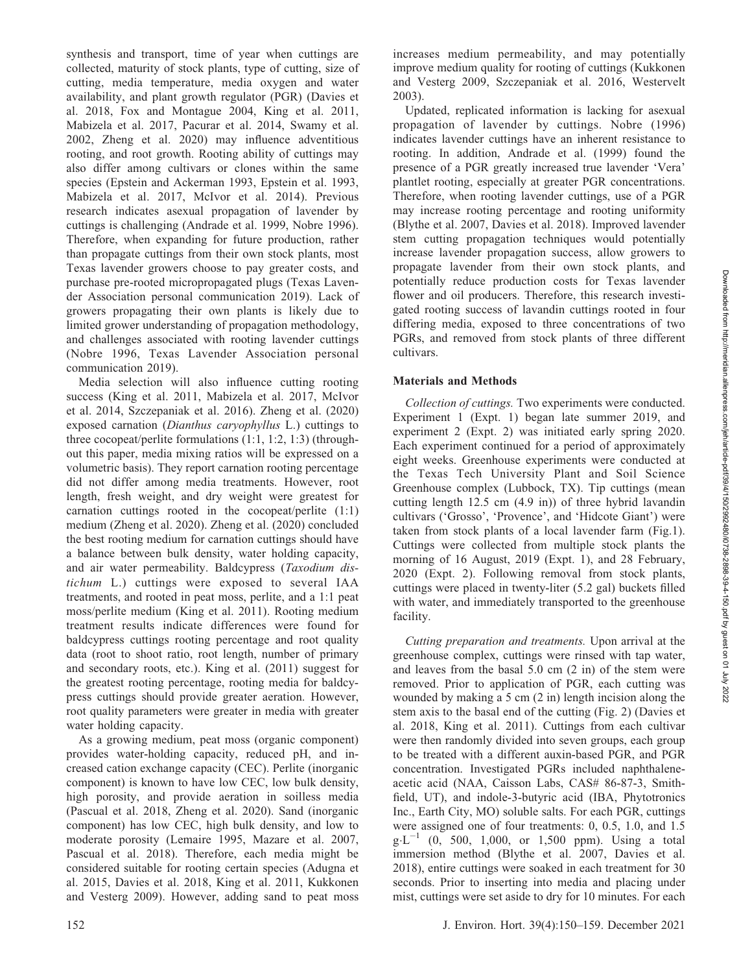synthesis and transport, time of year when cuttings are collected, maturity of stock plants, type of cutting, size of cutting, media temperature, media oxygen and water availability, and plant growth regulator (PGR) (Davies et al. 2018, Fox and Montague 2004, King et al. 2011, Mabizela et al. 2017, Pacurar et al. 2014, Swamy et al. 2002, Zheng et al. 2020) may influence adventitious rooting, and root growth. Rooting ability of cuttings may also differ among cultivars or clones within the same species (Epstein and Ackerman 1993, Epstein et al. 1993, Mabizela et al. 2017, McIvor et al. 2014). Previous research indicates asexual propagation of lavender by cuttings is challenging (Andrade et al. 1999, Nobre 1996). Therefore, when expanding for future production, rather than propagate cuttings from their own stock plants, most Texas lavender growers choose to pay greater costs, and purchase pre-rooted micropropagated plugs (Texas Lavender Association personal communication 2019). Lack of growers propagating their own plants is likely due to limited grower understanding of propagation methodology, and challenges associated with rooting lavender cuttings (Nobre 1996, Texas Lavender Association personal communication 2019).

Media selection will also influence cutting rooting success (King et al. 2011, Mabizela et al. 2017, McIvor et al. 2014, Szczepaniak et al. 2016). Zheng et al. (2020) exposed carnation (Dianthus caryophyllus L.) cuttings to three cocopeat/perlite formulations (1:1, 1:2, 1:3) (throughout this paper, media mixing ratios will be expressed on a volumetric basis). They report carnation rooting percentage did not differ among media treatments. However, root length, fresh weight, and dry weight were greatest for carnation cuttings rooted in the cocopeat/perlite (1:1) medium (Zheng et al. 2020). Zheng et al. (2020) concluded the best rooting medium for carnation cuttings should have a balance between bulk density, water holding capacity, and air water permeability. Baldcypress (Taxodium distichum L.) cuttings were exposed to several IAA treatments, and rooted in peat moss, perlite, and a 1:1 peat moss/perlite medium (King et al. 2011). Rooting medium treatment results indicate differences were found for baldcypress cuttings rooting percentage and root quality data (root to shoot ratio, root length, number of primary and secondary roots, etc.). King et al. (2011) suggest for the greatest rooting percentage, rooting media for baldcypress cuttings should provide greater aeration. However, root quality parameters were greater in media with greater water holding capacity.

As a growing medium, peat moss (organic component) provides water-holding capacity, reduced pH, and increased cation exchange capacity (CEC). Perlite (inorganic component) is known to have low CEC, low bulk density, high porosity, and provide aeration in soilless media (Pascual et al. 2018, Zheng et al. 2020). Sand (inorganic component) has low CEC, high bulk density, and low to moderate porosity (Lemaire 1995, Mazare et al. 2007, Pascual et al. 2018). Therefore, each media might be considered suitable for rooting certain species (Adugna et al. 2015, Davies et al. 2018, King et al. 2011, Kukkonen and Vesterg 2009). However, adding sand to peat moss

increases medium permeability, and may potentially improve medium quality for rooting of cuttings (Kukkonen and Vesterg 2009, Szczepaniak et al. 2016, Westervelt 2003).

Updated, replicated information is lacking for asexual propagation of lavender by cuttings. Nobre (1996) indicates lavender cuttings have an inherent resistance to rooting. In addition, Andrade et al. (1999) found the presence of a PGR greatly increased true lavender 'Vera' plantlet rooting, especially at greater PGR concentrations. Therefore, when rooting lavender cuttings, use of a PGR may increase rooting percentage and rooting uniformity (Blythe et al. 2007, Davies et al. 2018). Improved lavender stem cutting propagation techniques would potentially increase lavender propagation success, allow growers to propagate lavender from their own stock plants, and potentially reduce production costs for Texas lavender flower and oil producers. Therefore, this research investigated rooting success of lavandin cuttings rooted in four differing media, exposed to three concentrations of two PGRs, and removed from stock plants of three different cultivars.

# Materials and Methods

Collection of cuttings. Two experiments were conducted. Experiment 1 (Expt. 1) began late summer 2019, and experiment 2 (Expt. 2) was initiated early spring 2020. Each experiment continued for a period of approximately eight weeks. Greenhouse experiments were conducted at the Texas Tech University Plant and Soil Science Greenhouse complex (Lubbock, TX). Tip cuttings (mean cutting length 12.5 cm (4.9 in)) of three hybrid lavandin cultivars ('Grosso', 'Provence', and 'Hidcote Giant') were taken from stock plants of a local lavender farm (Fig.1). Cuttings were collected from multiple stock plants the morning of 16 August, 2019 (Expt. 1), and 28 February, 2020 (Expt. 2). Following removal from stock plants, cuttings were placed in twenty-liter (5.2 gal) buckets filled with water, and immediately transported to the greenhouse facility.

Cutting preparation and treatments. Upon arrival at the greenhouse complex, cuttings were rinsed with tap water, and leaves from the basal 5.0 cm (2 in) of the stem were removed. Prior to application of PGR, each cutting was wounded by making a 5 cm (2 in) length incision along the stem axis to the basal end of the cutting (Fig. 2) (Davies et al. 2018, King et al. 2011). Cuttings from each cultivar were then randomly divided into seven groups, each group to be treated with a different auxin-based PGR, and PGR concentration. Investigated PGRs included naphthaleneacetic acid (NAA, Caisson Labs, CAS# 86-87-3, Smithfield, UT), and indole-3-butyric acid (IBA, Phytotronics Inc., Earth City, MO) soluble salts. For each PGR, cuttings were assigned one of four treatments: 0, 0.5, 1.0, and 1.5  $g \cdot L^{-1}$  (0, 500, 1,000, or 1,500 ppm). Using a total immersion method (Blythe et al. 2007, Davies et al. 2018), entire cuttings were soaked in each treatment for 30 seconds. Prior to inserting into media and placing under mist, cuttings were set aside to dry for 10 minutes. For each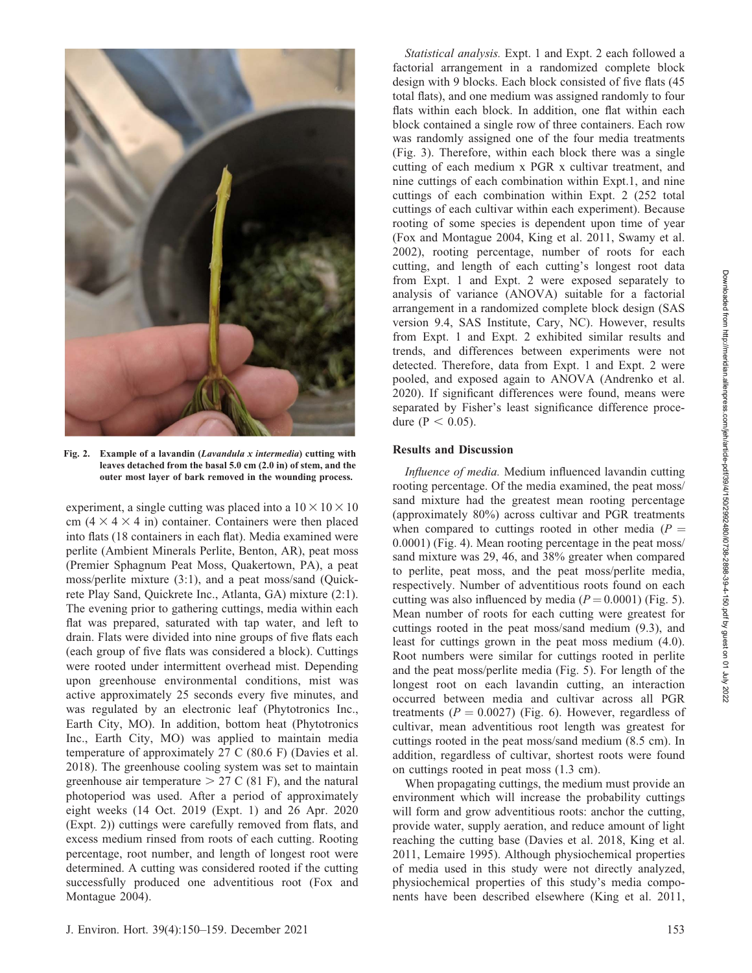

Fig. 2. Example of a lavandin (Lavandula x intermedia) cutting with leaves detached from the basal 5.0 cm (2.0 in) of stem, and the outer most layer of bark removed in the wounding process.

experiment, a single cutting was placed into a  $10 \times 10 \times 10$ cm  $(4 \times 4 \times 4$  in) container. Containers were then placed into flats (18 containers in each flat). Media examined were perlite (Ambient Minerals Perlite, Benton, AR), peat moss (Premier Sphagnum Peat Moss, Quakertown, PA), a peat moss/perlite mixture (3:1), and a peat moss/sand (Quickrete Play Sand, Quickrete Inc., Atlanta, GA) mixture (2:1). The evening prior to gathering cuttings, media within each flat was prepared, saturated with tap water, and left to drain. Flats were divided into nine groups of five flats each (each group of five flats was considered a block). Cuttings were rooted under intermittent overhead mist. Depending upon greenhouse environmental conditions, mist was active approximately 25 seconds every five minutes, and was regulated by an electronic leaf (Phytotronics Inc., Earth City, MO). In addition, bottom heat (Phytotronics Inc., Earth City, MO) was applied to maintain media temperature of approximately 27 C (80.6 F) (Davies et al. 2018). The greenhouse cooling system was set to maintain greenhouse air temperature  $> 27 \text{ C}$  (81 F), and the natural photoperiod was used. After a period of approximately eight weeks (14 Oct. 2019 (Expt. 1) and 26 Apr. 2020 (Expt. 2)) cuttings were carefully removed from flats, and excess medium rinsed from roots of each cutting. Rooting percentage, root number, and length of longest root were determined. A cutting was considered rooted if the cutting successfully produced one adventitious root (Fox and Montague 2004).

Statistical analysis. Expt. 1 and Expt. 2 each followed a factorial arrangement in a randomized complete block design with 9 blocks. Each block consisted of five flats (45 total flats), and one medium was assigned randomly to four flats within each block. In addition, one flat within each block contained a single row of three containers. Each row was randomly assigned one of the four media treatments (Fig. 3). Therefore, within each block there was a single cutting of each medium x PGR x cultivar treatment, and nine cuttings of each combination within Expt.1, and nine cuttings of each combination within Expt. 2 (252 total cuttings of each cultivar within each experiment). Because rooting of some species is dependent upon time of year (Fox and Montague 2004, King et al. 2011, Swamy et al. 2002), rooting percentage, number of roots for each cutting, and length of each cutting's longest root data from Expt. 1 and Expt. 2 were exposed separately to analysis of variance (ANOVA) suitable for a factorial arrangement in a randomized complete block design (SAS version 9.4, SAS Institute, Cary, NC). However, results from Expt. 1 and Expt. 2 exhibited similar results and trends, and differences between experiments were not detected. Therefore, data from Expt. 1 and Expt. 2 were pooled, and exposed again to ANOVA (Andrenko et al. 2020). If significant differences were found, means were separated by Fisher's least significance difference procedure ( $P < 0.05$ ).

#### Results and Discussion

Influence of media. Medium influenced lavandin cutting rooting percentage. Of the media examined, the peat moss/ sand mixture had the greatest mean rooting percentage (approximately 80%) across cultivar and PGR treatments when compared to cuttings rooted in other media ( $P =$ 0.0001) (Fig. 4). Mean rooting percentage in the peat moss/ sand mixture was 29, 46, and 38% greater when compared to perlite, peat moss, and the peat moss/perlite media, respectively. Number of adventitious roots found on each cutting was also influenced by media ( $P = 0.0001$ ) (Fig. 5). Mean number of roots for each cutting were greatest for cuttings rooted in the peat moss/sand medium (9.3), and least for cuttings grown in the peat moss medium (4.0). Root numbers were similar for cuttings rooted in perlite and the peat moss/perlite media (Fig. 5). For length of the longest root on each lavandin cutting, an interaction occurred between media and cultivar across all PGR treatments ( $P = 0.0027$ ) (Fig. 6). However, regardless of cultivar, mean adventitious root length was greatest for cuttings rooted in the peat moss/sand medium (8.5 cm). In addition, regardless of cultivar, shortest roots were found on cuttings rooted in peat moss (1.3 cm).

When propagating cuttings, the medium must provide an environment which will increase the probability cuttings will form and grow adventitious roots: anchor the cutting, provide water, supply aeration, and reduce amount of light reaching the cutting base (Davies et al. 2018, King et al. 2011, Lemaire 1995). Although physiochemical properties of media used in this study were not directly analyzed, physiochemical properties of this study's media components have been described elsewhere (King et al. 2011,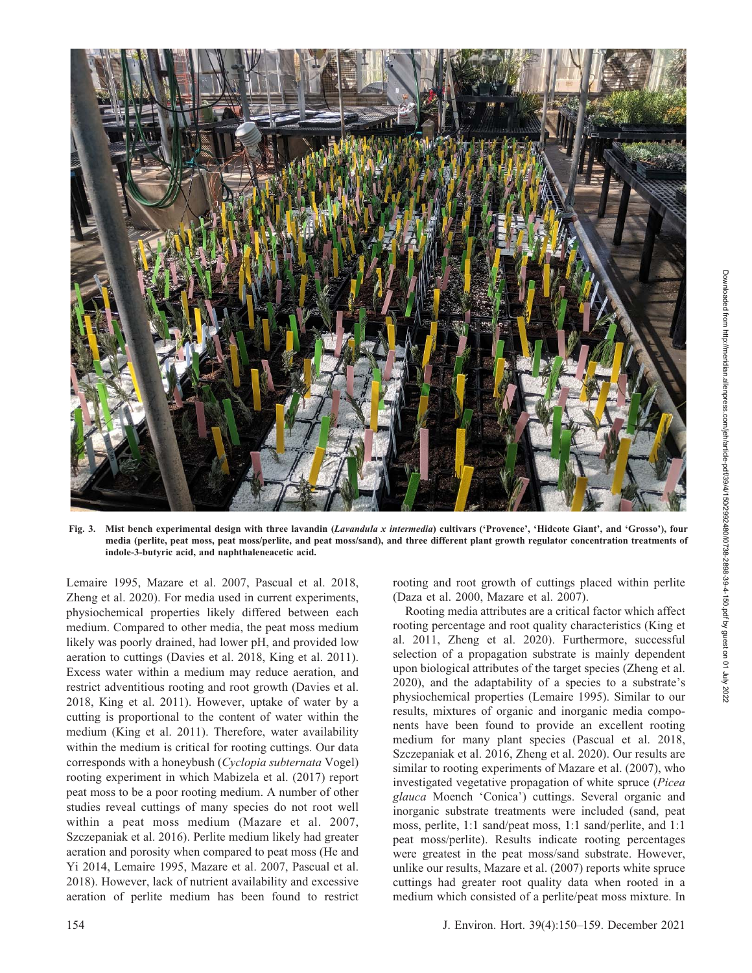

Fig. 3. Mist bench experimental design with three lavandin (Lavandula x intermedia) cultivars ('Provence', 'Hidcote Giant', and 'Grosso'), four media (perlite, peat moss, peat moss/perlite, and peat moss/sand), and three different plant growth regulator concentration treatments of indole-3-butyric acid, and naphthaleneacetic acid.

Lemaire 1995, Mazare et al. 2007, Pascual et al. 2018, Zheng et al. 2020). For media used in current experiments, physiochemical properties likely differed between each medium. Compared to other media, the peat moss medium likely was poorly drained, had lower pH, and provided low aeration to cuttings (Davies et al. 2018, King et al. 2011). Excess water within a medium may reduce aeration, and restrict adventitious rooting and root growth (Davies et al. 2018, King et al. 2011). However, uptake of water by a cutting is proportional to the content of water within the medium (King et al. 2011). Therefore, water availability within the medium is critical for rooting cuttings. Our data corresponds with a honeybush (Cyclopia subternata Vogel) rooting experiment in which Mabizela et al. (2017) report peat moss to be a poor rooting medium. A number of other studies reveal cuttings of many species do not root well within a peat moss medium (Mazare et al. 2007, Szczepaniak et al. 2016). Perlite medium likely had greater aeration and porosity when compared to peat moss (He and Yi 2014, Lemaire 1995, Mazare et al. 2007, Pascual et al. 2018). However, lack of nutrient availability and excessive aeration of perlite medium has been found to restrict

rooting and root growth of cuttings placed within perlite (Daza et al. 2000, Mazare et al. 2007).

Rooting media attributes are a critical factor which affect rooting percentage and root quality characteristics (King et al. 2011, Zheng et al. 2020). Furthermore, successful selection of a propagation substrate is mainly dependent upon biological attributes of the target species (Zheng et al. 2020), and the adaptability of a species to a substrate's physiochemical properties (Lemaire 1995). Similar to our results, mixtures of organic and inorganic media components have been found to provide an excellent rooting medium for many plant species (Pascual et al. 2018, Szczepaniak et al. 2016, Zheng et al. 2020). Our results are similar to rooting experiments of Mazare et al. (2007), who investigated vegetative propagation of white spruce (Picea glauca Moench 'Conica') cuttings. Several organic and inorganic substrate treatments were included (sand, peat moss, perlite, 1:1 sand/peat moss, 1:1 sand/perlite, and 1:1 peat moss/perlite). Results indicate rooting percentages were greatest in the peat moss/sand substrate. However, unlike our results, Mazare et al. (2007) reports white spruce cuttings had greater root quality data when rooted in a medium which consisted of a perlite/peat moss mixture. In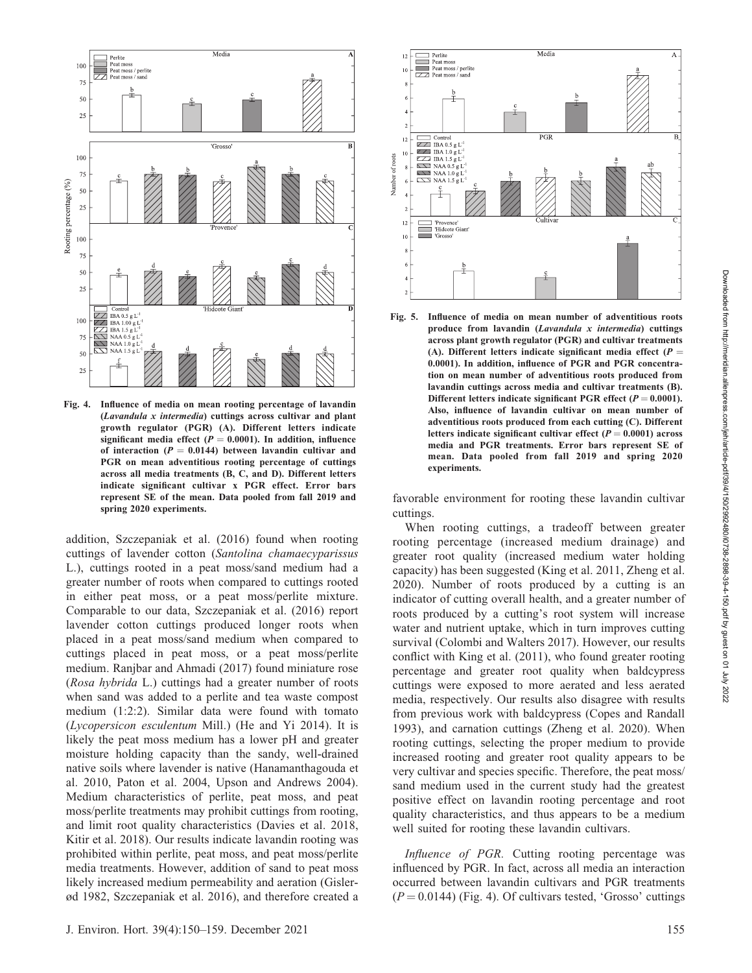

Fig. 4. Influence of media on mean rooting percentage of lavandin (Lavandula x intermedia) cuttings across cultivar and plant growth regulator (PGR) (A). Different letters indicate significant media effect ( $P = 0.0001$ ). In addition, influence of interaction ( $P = 0.0144$ ) between lavandin cultivar and PGR on mean adventitious rooting percentage of cuttings across all media treatments (B, C, and D). Different letters indicate significant cultivar x PGR effect. Error bars represent SE of the mean. Data pooled from fall 2019 and spring 2020 experiments.

addition, Szczepaniak et al. (2016) found when rooting cuttings of lavender cotton (Santolina chamaecyparissus L.), cuttings rooted in a peat moss/sand medium had a greater number of roots when compared to cuttings rooted in either peat moss, or a peat moss/perlite mixture. Comparable to our data, Szczepaniak et al. (2016) report lavender cotton cuttings produced longer roots when placed in a peat moss/sand medium when compared to cuttings placed in peat moss, or a peat moss/perlite medium. Ranjbar and Ahmadi (2017) found miniature rose (Rosa hybrida L.) cuttings had a greater number of roots when sand was added to a perlite and tea waste compost medium (1:2:2). Similar data were found with tomato (Lycopersicon esculentum Mill.) (He and Yi 2014). It is likely the peat moss medium has a lower pH and greater moisture holding capacity than the sandy, well-drained native soils where lavender is native (Hanamanthagouda et al. 2010, Paton et al. 2004, Upson and Andrews 2004). Medium characteristics of perlite, peat moss, and peat moss/perlite treatments may prohibit cuttings from rooting, and limit root quality characteristics (Davies et al. 2018, Kitir et al. 2018). Our results indicate lavandin rooting was prohibited within perlite, peat moss, and peat moss/perlite media treatments. However, addition of sand to peat moss likely increased medium permeability and aeration (Gislerød 1982, Szczepaniak et al. 2016), and therefore created a



Fig. 5. Influence of media on mean number of adventitious roots produce from lavandin (Lavandula x intermedia) cuttings across plant growth regulator (PGR) and cultivar treatments (A). Different letters indicate significant media effect ( $P =$ 0.0001). In addition, influence of PGR and PGR concentration on mean number of adventitious roots produced from lavandin cuttings across media and cultivar treatments (B). Different letters indicate significant PGR effect ( $P = 0.0001$ ). Also, influence of lavandin cultivar on mean number of adventitious roots produced from each cutting (C). Different letters indicate significant cultivar effect  $(P = 0.0001)$  across media and PGR treatments. Error bars represent SE of mean. Data pooled from fall 2019 and spring 2020 experiments.

favorable environment for rooting these lavandin cultivar cuttings.

When rooting cuttings, a tradeoff between greater rooting percentage (increased medium drainage) and greater root quality (increased medium water holding capacity) has been suggested (King et al. 2011, Zheng et al. 2020). Number of roots produced by a cutting is an indicator of cutting overall health, and a greater number of roots produced by a cutting's root system will increase water and nutrient uptake, which in turn improves cutting survival (Colombi and Walters 2017). However, our results conflict with King et al. (2011), who found greater rooting percentage and greater root quality when baldcypress cuttings were exposed to more aerated and less aerated media, respectively. Our results also disagree with results from previous work with baldcypress (Copes and Randall 1993), and carnation cuttings (Zheng et al. 2020). When rooting cuttings, selecting the proper medium to provide increased rooting and greater root quality appears to be very cultivar and species specific. Therefore, the peat moss/ sand medium used in the current study had the greatest positive effect on lavandin rooting percentage and root quality characteristics, and thus appears to be a medium well suited for rooting these lavandin cultivars.

Influence of PGR. Cutting rooting percentage was influenced by PGR. In fact, across all media an interaction occurred between lavandin cultivars and PGR treatments  $(P = 0.0144)$  (Fig. 4). Of cultivars tested, 'Grosso' cuttings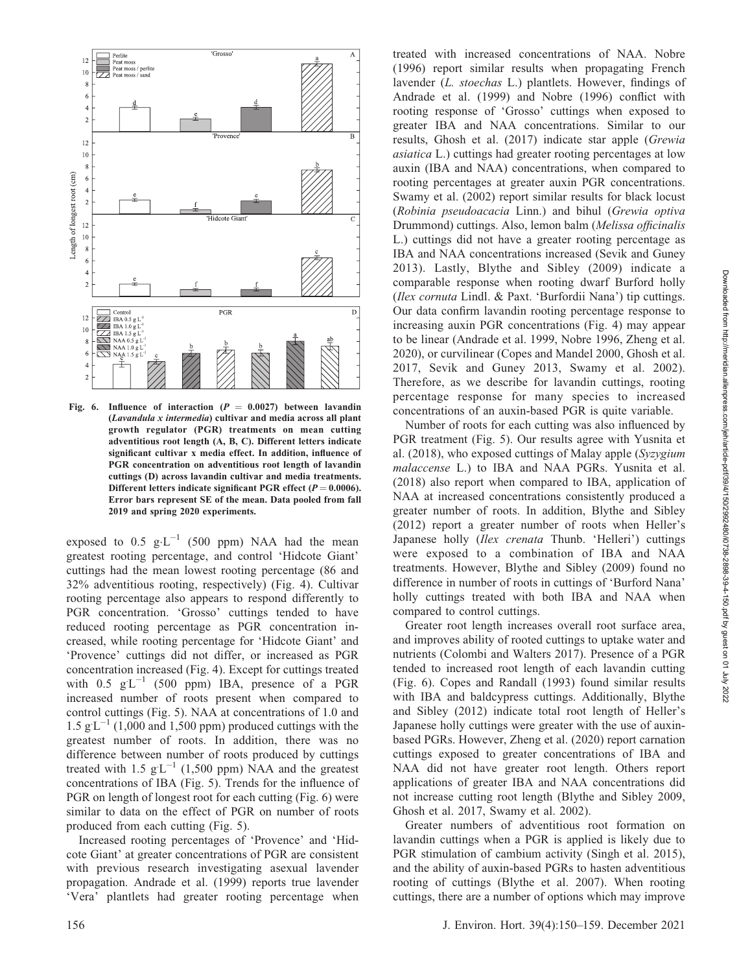

Fig. 6. Influence of interaction ( $P = 0.0027$ ) between lavandin (Lavandula x intermedia) cultivar and media across all plant growth regulator (PGR) treatments on mean cutting adventitious root length (A, B, C). Different letters indicate significant cultivar x media effect. In addition, influence of PGR concentration on adventitious root length of lavandin cuttings (D) across lavandin cultivar and media treatments. Different letters indicate significant PGR effect  $(P = 0.0006)$ . Error bars represent SE of the mean. Data pooled from fall 2019 and spring 2020 experiments.

exposed to 0.5  $g \cdot L^{-1}$  (500 ppm) NAA had the mean greatest rooting percentage, and control 'Hidcote Giant' cuttings had the mean lowest rooting percentage (86 and 32% adventitious rooting, respectively) (Fig. 4). Cultivar rooting percentage also appears to respond differently to PGR concentration. 'Grosso' cuttings tended to have reduced rooting percentage as PGR concentration increased, while rooting percentage for 'Hidcote Giant' and 'Provence' cuttings did not differ, or increased as PGR concentration increased (Fig. 4). Except for cuttings treated with  $0.5 \text{ g L}^{-1}$  (500 ppm) IBA, presence of a PGR increased number of roots present when compared to control cuttings (Fig. 5). NAA at concentrations of 1.0 and  $1.5 \text{ g L}^{-1}$  (1,000 and 1,500 ppm) produced cuttings with the greatest number of roots. In addition, there was no difference between number of roots produced by cuttings treated with 1.5  $g L^{-1}$  (1,500 ppm) NAA and the greatest concentrations of IBA (Fig. 5). Trends for the influence of PGR on length of longest root for each cutting (Fig. 6) were similar to data on the effect of PGR on number of roots produced from each cutting (Fig. 5).

Increased rooting percentages of 'Provence' and 'Hidcote Giant' at greater concentrations of PGR are consistent with previous research investigating asexual lavender propagation. Andrade et al. (1999) reports true lavender 'Vera' plantlets had greater rooting percentage when

treated with increased concentrations of NAA. Nobre (1996) report similar results when propagating French lavender (L. stoechas L.) plantlets. However, findings of Andrade et al. (1999) and Nobre (1996) conflict with rooting response of 'Grosso' cuttings when exposed to greater IBA and NAA concentrations. Similar to our results, Ghosh et al. (2017) indicate star apple (Grewia asiatica L.) cuttings had greater rooting percentages at low auxin (IBA and NAA) concentrations, when compared to rooting percentages at greater auxin PGR concentrations. Swamy et al. (2002) report similar results for black locust (Robinia pseudoacacia Linn.) and bihul (Grewia optiva Drummond) cuttings. Also, lemon balm (Melissa officinalis L.) cuttings did not have a greater rooting percentage as IBA and NAA concentrations increased (Sevik and Guney 2013). Lastly, Blythe and Sibley (2009) indicate a comparable response when rooting dwarf Burford holly (Ilex cornuta Lindl. & Paxt. 'Burfordii Nana') tip cuttings. Our data confirm lavandin rooting percentage response to increasing auxin PGR concentrations (Fig. 4) may appear to be linear (Andrade et al. 1999, Nobre 1996, Zheng et al. 2020), or curvilinear (Copes and Mandel 2000, Ghosh et al. 2017, Sevik and Guney 2013, Swamy et al. 2002). Therefore, as we describe for lavandin cuttings, rooting percentage response for many species to increased concentrations of an auxin-based PGR is quite variable.

Number of roots for each cutting was also influenced by PGR treatment (Fig. 5). Our results agree with Yusnita et al. (2018), who exposed cuttings of Malay apple (Syzygium malaccense L.) to IBA and NAA PGRs. Yusnita et al. (2018) also report when compared to IBA, application of NAA at increased concentrations consistently produced a greater number of roots. In addition, Blythe and Sibley (2012) report a greater number of roots when Heller's Japanese holly (Ilex crenata Thunb. 'Helleri') cuttings were exposed to a combination of IBA and NAA treatments. However, Blythe and Sibley (2009) found no difference in number of roots in cuttings of 'Burford Nana' holly cuttings treated with both IBA and NAA when compared to control cuttings.

Greater root length increases overall root surface area, and improves ability of rooted cuttings to uptake water and nutrients (Colombi and Walters 2017). Presence of a PGR tended to increased root length of each lavandin cutting (Fig. 6). Copes and Randall (1993) found similar results with IBA and baldcypress cuttings. Additionally, Blythe and Sibley (2012) indicate total root length of Heller's Japanese holly cuttings were greater with the use of auxinbased PGRs. However, Zheng et al. (2020) report carnation cuttings exposed to greater concentrations of IBA and NAA did not have greater root length. Others report applications of greater IBA and NAA concentrations did not increase cutting root length (Blythe and Sibley 2009, Ghosh et al. 2017, Swamy et al. 2002).

Greater numbers of adventitious root formation on lavandin cuttings when a PGR is applied is likely due to PGR stimulation of cambium activity (Singh et al. 2015), and the ability of auxin-based PGRs to hasten adventitious rooting of cuttings (Blythe et al. 2007). When rooting cuttings, there are a number of options which may improve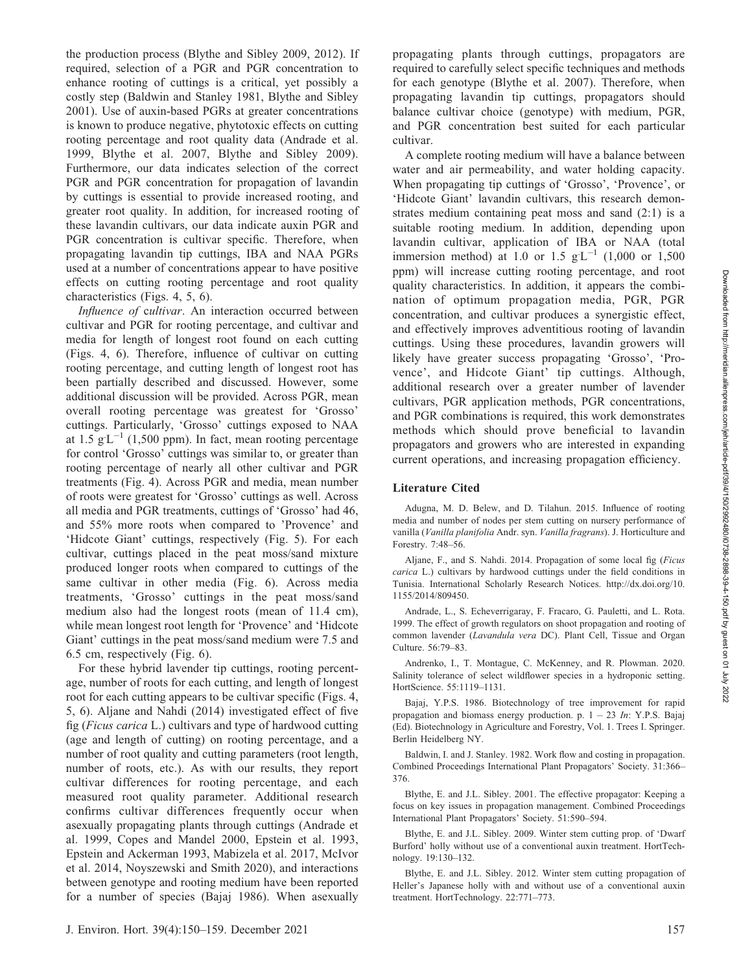the production process (Blythe and Sibley 2009, 2012). If required, selection of a PGR and PGR concentration to enhance rooting of cuttings is a critical, yet possibly a costly step (Baldwin and Stanley 1981, Blythe and Sibley 2001). Use of auxin-based PGRs at greater concentrations is known to produce negative, phytotoxic effects on cutting rooting percentage and root quality data (Andrade et al. 1999, Blythe et al. 2007, Blythe and Sibley 2009). Furthermore, our data indicates selection of the correct PGR and PGR concentration for propagation of lavandin by cuttings is essential to provide increased rooting, and greater root quality. In addition, for increased rooting of these lavandin cultivars, our data indicate auxin PGR and PGR concentration is cultivar specific. Therefore, when propagating lavandin tip cuttings, IBA and NAA PGRs used at a number of concentrations appear to have positive effects on cutting rooting percentage and root quality characteristics (Figs. 4, 5, 6).

Influence of cultivar. An interaction occurred between cultivar and PGR for rooting percentage, and cultivar and media for length of longest root found on each cutting (Figs. 4, 6). Therefore, influence of cultivar on cutting rooting percentage, and cutting length of longest root has been partially described and discussed. However, some additional discussion will be provided. Across PGR, mean overall rooting percentage was greatest for 'Grosso' cuttings. Particularly, 'Grosso' cuttings exposed to NAA at  $1.5 \text{ g L}^{-1}$  (1,500 ppm). In fact, mean rooting percentage for control 'Grosso' cuttings was similar to, or greater than rooting percentage of nearly all other cultivar and PGR treatments (Fig. 4). Across PGR and media, mean number of roots were greatest for 'Grosso' cuttings as well. Across all media and PGR treatments, cuttings of 'Grosso' had 46, and 55% more roots when compared to 'Provence' and 'Hidcote Giant' cuttings, respectively (Fig. 5). For each cultivar, cuttings placed in the peat moss/sand mixture produced longer roots when compared to cuttings of the same cultivar in other media (Fig. 6). Across media treatments, 'Grosso' cuttings in the peat moss/sand medium also had the longest roots (mean of 11.4 cm), while mean longest root length for 'Provence' and 'Hidcote Giant' cuttings in the peat moss/sand medium were 7.5 and 6.5 cm, respectively (Fig. 6).

For these hybrid lavender tip cuttings, rooting percentage, number of roots for each cutting, and length of longest root for each cutting appears to be cultivar specific (Figs. 4, 5, 6). Aljane and Nahdi (2014) investigated effect of five fig (Ficus carica L.) cultivars and type of hardwood cutting (age and length of cutting) on rooting percentage, and a number of root quality and cutting parameters (root length, number of roots, etc.). As with our results, they report cultivar differences for rooting percentage, and each measured root quality parameter. Additional research confirms cultivar differences frequently occur when asexually propagating plants through cuttings (Andrade et al. 1999, Copes and Mandel 2000, Epstein et al. 1993, Epstein and Ackerman 1993, Mabizela et al. 2017, McIvor et al. 2014, Noyszewski and Smith 2020), and interactions between genotype and rooting medium have been reported for a number of species (Bajaj 1986). When asexually

propagating plants through cuttings, propagators are required to carefully select specific techniques and methods for each genotype (Blythe et al. 2007). Therefore, when propagating lavandin tip cuttings, propagators should balance cultivar choice (genotype) with medium, PGR, and PGR concentration best suited for each particular cultivar.

A complete rooting medium will have a balance between water and air permeability, and water holding capacity. When propagating tip cuttings of 'Grosso', 'Provence', or 'Hidcote Giant' lavandin cultivars, this research demonstrates medium containing peat moss and sand (2:1) is a suitable rooting medium. In addition, depending upon lavandin cultivar, application of IBA or NAA (total immersion method) at 1.0 or 1.5  $gL^{-1}$  (1,000 or 1,500 ppm) will increase cutting rooting percentage, and root quality characteristics. In addition, it appears the combination of optimum propagation media, PGR, PGR concentration, and cultivar produces a synergistic effect, and effectively improves adventitious rooting of lavandin cuttings. Using these procedures, lavandin growers will likely have greater success propagating 'Grosso', 'Provence', and Hidcote Giant' tip cuttings. Although, additional research over a greater number of lavender cultivars, PGR application methods, PGR concentrations, and PGR combinations is required, this work demonstrates methods which should prove beneficial to lavandin propagators and growers who are interested in expanding current operations, and increasing propagation efficiency.

## Literature Cited

Adugna, M. D. Belew, and D. Tilahun. 2015. Influence of rooting media and number of nodes per stem cutting on nursery performance of vanilla (Vanilla planifolia Andr. syn. Vanilla fragrans). J. Horticulture and Forestry. 7:48–56.

Aljane, F., and S. Nahdi. 2014. Propagation of some local fig (Ficus carica L.) cultivars by hardwood cuttings under the field conditions in Tunisia. International Scholarly Research Notices. http://dx.doi.org/10. 1155/2014/809450.

Andrade, L., S. Echeverrigaray, F. Fracaro, G. Pauletti, and L. Rota. 1999. The effect of growth regulators on shoot propagation and rooting of common lavender (Lavandula vera DC). Plant Cell, Tissue and Organ Culture. 56:79–83.

Andrenko, I., T. Montague, C. McKenney, and R. Plowman. 2020. Salinity tolerance of select wildflower species in a hydroponic setting. HortScience. 55:1119–1131.

Bajaj, Y.P.S. 1986. Biotechnology of tree improvement for rapid propagation and biomass energy production. p.  $1 - 23$  In: Y.P.S. Bajaj (Ed). Biotechnology in Agriculture and Forestry, Vol. 1. Trees I. Springer. Berlin Heidelberg NY.

Baldwin, I. and J. Stanley. 1982. Work flow and costing in propagation. Combined Proceedings International Plant Propagators' Society. 31:366– 376.

Blythe, E. and J.L. Sibley. 2001. The effective propagator: Keeping a focus on key issues in propagation management. Combined Proceedings International Plant Propagators' Society. 51:590–594.

Blythe, E. and J.L. Sibley. 2009. Winter stem cutting prop. of 'Dwarf Burford' holly without use of a conventional auxin treatment. HortTechnology. 19:130–132.

Blythe, E. and J.L. Sibley. 2012. Winter stem cutting propagation of Heller's Japanese holly with and without use of a conventional auxin treatment. HortTechnology. 22:771–773.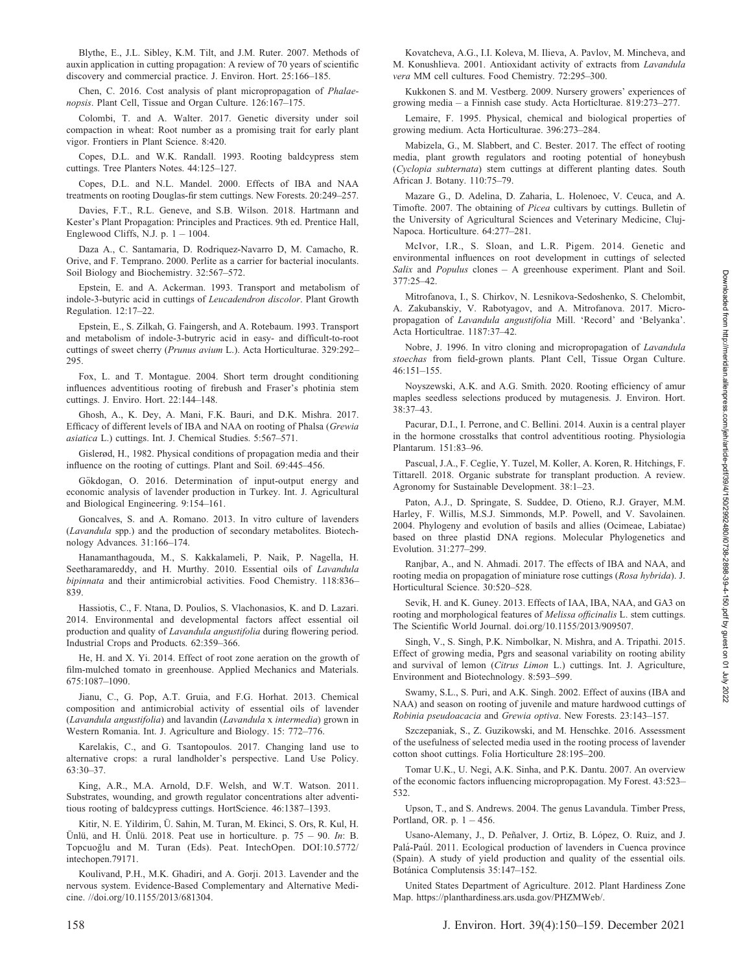Blythe, E., J.L. Sibley, K.M. Tilt, and J.M. Ruter. 2007. Methods of auxin application in cutting propagation: A review of 70 years of scientific discovery and commercial practice. J. Environ. Hort. 25:166–185.

Chen, C. 2016. Cost analysis of plant micropropagation of Phalaenopsis. Plant Cell, Tissue and Organ Culture. 126:167–175.

Colombi, T. and A. Walter. 2017. Genetic diversity under soil compaction in wheat: Root number as a promising trait for early plant vigor. Frontiers in Plant Science. 8:420.

Copes, D.L. and W.K. Randall. 1993. Rooting baldcypress stem cuttings. Tree Planters Notes. 44:125–127.

Copes, D.L. and N.L. Mandel. 2000. Effects of IBA and NAA treatments on rooting Douglas-fir stem cuttings. New Forests. 20:249–257.

Davies, F.T., R.L. Geneve, and S.B. Wilson. 2018. Hartmann and Kester's Plant Propagation: Principles and Practices. 9th ed. Prentice Hall, Englewood Cliffs, N.J. p.  $1 - 1004$ .

Daza A., C. Santamaria, D. Rodriquez-Navarro D, M. Camacho, R. Orive, and F. Temprano. 2000. Perlite as a carrier for bacterial inoculants. Soil Biology and Biochemistry. 32:567–572.

Epstein, E. and A. Ackerman. 1993. Transport and metabolism of indole-3-butyric acid in cuttings of Leucadendron discolor. Plant Growth Regulation. 12:17–22.

Epstein, E., S. Zilkah, G. Faingersh, and A. Rotebaum. 1993. Transport and metabolism of indole-3-butryric acid in easy- and difficult-to-root cuttings of sweet cherry (Prunus avium L.). Acta Horticulturae. 329:292– 295.

Fox, L. and T. Montague. 2004. Short term drought conditioning influences adventitious rooting of firebush and Fraser's photinia stem cuttings. J. Enviro. Hort. 22:144–148.

Ghosh, A., K. Dey, A. Mani, F.K. Bauri, and D.K. Mishra. 2017. Efficacy of different levels of IBA and NAA on rooting of Phalsa (Grewia asiatica L.) cuttings. Int. J. Chemical Studies. 5:567–571.

Gislerød, H., 1982. Physical conditions of propagation media and their influence on the rooting of cuttings. Plant and Soil. 69:445–456.

Gökdogan, O. 2016. Determination of input-output energy and economic analysis of lavender production in Turkey. Int. J. Agricultural and Biological Engineering. 9:154–161.

Goncalves, S. and A. Romano. 2013. In vitro culture of lavenders (Lavandula spp.) and the production of secondary metabolites. Biotechnology Advances. 31:166–174.

Hanamanthagouda, M., S. Kakkalameli, P. Naik, P. Nagella, H. Seetharamareddy, and H. Murthy. 2010. Essential oils of Lavandula bipinnata and their antimicrobial activities. Food Chemistry. 118:836– 839.

Hassiotis, C., F. Ntana, D. Poulios, S. Vlachonasios, K. and D. Lazari. 2014. Environmental and developmental factors affect essential oil production and quality of Lavandula angustifolia during flowering period. Industrial Crops and Products. 62:359–366.

He, H. and X. Yi. 2014. Effect of root zone aeration on the growth of film-mulched tomato in greenhouse. Applied Mechanics and Materials. 675:1087–1090.

Jianu, C., G. Pop, A.T. Gruia, and F.G. Horhat. 2013. Chemical composition and antimicrobial activity of essential oils of lavender (Lavandula angustifolia) and lavandin (Lavandula x intermedia) grown in Western Romania. Int. J. Agriculture and Biology. 15: 772–776.

Karelakis, C., and G. Tsantopoulos. 2017. Changing land use to alternative crops: a rural landholder's perspective. Land Use Policy.  $63.30 - 37$ 

King, A.R., M.A. Arnold, D.F. Welsh, and W.T. Watson. 2011. Substrates, wounding, and growth regulator concentrations alter adventitious rooting of baldcypress cuttings. HortScience. 46:1387–1393.

Kitir, N. E. Yildirim, Ü. Sahin, M. Turan, M. Ekinci, S. Ors, R. Kul, H. Ünlü, and H. Ünlü. 2018. Peat use in horticulture. p.  $75 - 90$ . In: B. Topcuoğlu and M. Turan (Eds). Peat. IntechOpen. DOI:10.5772/ intechopen.79171.

Koulivand, P.H., M.K. Ghadiri, and A. Gorji. 2013. Lavender and the nervous system. Evidence-Based Complementary and Alternative Medicine. //doi.org/10.1155/2013/681304.

Kovatcheva, A.G., I.I. Koleva, M. Ilieva, A. Pavlov, M. Mincheva, and M. Konushlieva. 2001. Antioxidant activity of extracts from Lavandula vera MM cell cultures. Food Chemistry. 72:295–300.

Kukkonen S. and M. Vestberg. 2009. Nursery growers' experiences of growing media – a Finnish case study. Acta Horticlturae. 819:273–277.

Lemaire, F. 1995. Physical, chemical and biological properties of growing medium. Acta Horticulturae. 396:273–284.

Mabizela, G., M. Slabbert, and C. Bester. 2017. The effect of rooting media, plant growth regulators and rooting potential of honeybush (Cyclopia subternata) stem cuttings at different planting dates. South African J. Botany. 110:75–79.

Mazare G., D. Adelina, D. Zaharia, L. Holenoec, V. Ceuca, and A. Timofte. 2007. The obtaining of Picea cultivars by cuttings. Bulletin of the University of Agricultural Sciences and Veterinary Medicine, Cluj-Napoca. Horticulture. 64:277–281.

McIvor, I.R., S. Sloan, and L.R. Pigem. 2014. Genetic and environmental influences on root development in cuttings of selected Salix and Populus clones - A greenhouse experiment. Plant and Soil. 377:25–42.

Mitrofanova, I., S. Chirkov, N. Lesnikova-Sedoshenko, S. Chelombit, A. Zakubanskiy, V. Rabotyagov, and A. Mitrofanova. 2017. Micropropagation of Lavandula angustifolia Mill. 'Record' and 'Belyanka'. Acta Horticultrae. 1187:37–42.

Nobre, J. 1996. In vitro cloning and micropropagation of Lavandula stoechas from field-grown plants. Plant Cell, Tissue Organ Culture. 46:151–155.

Noyszewski, A.K. and A.G. Smith. 2020. Rooting efficiency of amur maples seedless selections produced by mutagenesis. J. Environ. Hort. 38:37–43.

Pacurar, D.I., I. Perrone, and C. Bellini. 2014. Auxin is a central player in the hormone crosstalks that control adventitious rooting. Physiologia Plantarum. 151:83–96.

Pascual, J.A., F. Ceglie, Y. Tuzel, M. Koller, A. Koren, R. Hitchings, F. Tittarell. 2018. Organic substrate for transplant production. A review. Agronomy for Sustainable Development. 38:1–23.

Paton, A.J., D. Springate, S. Suddee, D. Otieno, R.J. Grayer, M.M. Harley, F. Willis, M.S.J. Simmonds, M.P. Powell, and V. Savolainen. 2004. Phylogeny and evolution of basils and allies (Ocimeae, Labiatae) based on three plastid DNA regions. Molecular Phylogenetics and Evolution. 31:277–299.

Ranjbar, A., and N. Ahmadi. 2017. The effects of IBA and NAA, and rooting media on propagation of miniature rose cuttings (Rosa hybrida). J. Horticultural Science. 30:520–528.

Sevik, H. and K. Guney. 2013. Effects of IAA, IBA, NAA, and GA3 on rooting and morphological features of Melissa officinalis L. stem cuttings. The Scientific World Journal. doi.org/10.1155/2013/909507.

Singh, V., S. Singh, P.K. Nimbolkar, N. Mishra, and A. Tripathi. 2015. Effect of growing media, Pgrs and seasonal variability on rooting ability and survival of lemon (Citrus Limon L.) cuttings. Int. J. Agriculture, Environment and Biotechnology. 8:593–599.

Swamy, S.L., S. Puri, and A.K. Singh. 2002. Effect of auxins (IBA and NAA) and season on rooting of juvenile and mature hardwood cuttings of Robinia pseudoacacia and Grewia optiva. New Forests. 23:143–157.

Szczepaniak, S., Z. Guzikowski, and M. Henschke. 2016. Assessment of the usefulness of selected media used in the rooting process of lavender cotton shoot cuttings. Folia Horticulture 28:195–200.

Tomar U.K., U. Negi, A.K. Sinha, and P.K. Dantu. 2007. An overview of the economic factors influencing micropropagation. My Forest. 43:523– 532.

Upson, T., and S. Andrews. 2004. The genus Lavandula. Timber Press, Portland, OR. p.  $1 - 456$ .

Usano-Alemany, J., D. Peñalver, J. Ortiz, B. López, O. Ruiz, and J. Palá-Paúl. 2011. Ecological production of lavenders in Cuenca province (Spain). A study of yield production and quality of the essential oils. Botánica Complutensis 35:147-152.

United States Department of Agriculture. 2012. Plant Hardiness Zone Map. https://planthardiness.ars.usda.gov/PHZMWeb/.